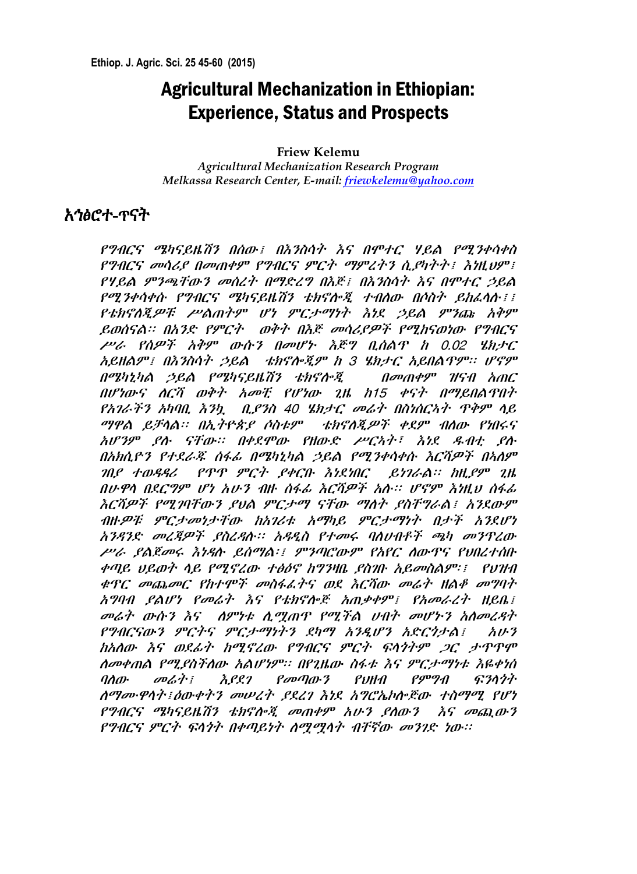# Agricultural Mechanization in Ethiopian: Experience, Status and Prospects

**Friew Kelemu**

*Agricultural Mechanization Research Program Melkassa Research Center, E-mail[: friewkelemu@yahoo.com](mailto:friewkelemu@yahoo.com)*

### አኅፅሮተ-ጥናት

የግብርና ሜካናይዜሽን በሰው፤ በእንስሳት እና በሞተር ሃይል የሚንቀሳቀስ የግብርና መሳሪያ በመጠቀም የግብርና ምርት ማምረትን ሲያካትት፤ እነዚህም፤ የሃይል ምንጫቸውን መሰረት በማድረግ በእጅ፤ በእንስሳት እና በሞተር ኃይል የሚንቀሳቀሱ የግብርና ሜካናይዜሽን ቴክኖሎጂ ተብለው በሶስት ይከፈላሉ፤፤ የቴክኖለጂዎቹ ሥልጠትም ሆነ ምርታማነት እነደ ኃይል ምንጩ አቅም ይወሰናል፡፡ በአንድ የምርት ወቅት በእጅ መሳሪያዎች የሚከናወነው የግብርና ሥራ የሰዎች አቅም ውሱን በመሆኑ እጅግ ቢሰልጥ ከ 0.02 ሄክታር አይዘልም፤ በእንስሳት ኃይል ቴክኖሎጂም ከ 3 ሄክታር አይበልጥም፡፡ ሆኖም በሜካኒካል ኃይል የሜካናይዜሽን ቴክኖሎጂ በመጠቀም ዝናብ አጠር በሆነውና ሇርሻ ወቅት አመቺ የሆነው ጊዜ ከ15 ቀናት በማይበልጥበት የአገራችን አካባቢ እንኳ ቢያንስ 40 ሄክታር መሬት በስነሰርኣት ጥቅም ሊይ ማዋል ይቻላል፡፡ በኢትዮጵያ ሶስቱም ቴክኖለጂዎች ቀደም ብለው የነበሩና አሆንም ያለ ናቸው፡፡ በቀደሞው የዘውድ ሥርኣት፣ እነደ ዳብቲ ያለ በአክሲዮን የተደራጁ ሰፋፊ በሜካኒካል ኃይል የሚንቀሳቀሱ እርሻዎች በኣለም ገበያ ተወዲዲሪ የጥጥ ምርት ያቀርቡ እነዯነበር ይነገራል፡፡ ከዚያም ጊዜ በሁዋሊ በዯርግም ሆነ አሁን ብዙ ሰፋፊ እርሻዎች አለ፡፡ ሆኖም እነዚህ ሰፋፊ እርሻዎች የሚገባቸውን ያህል ምርታማ ናቸው ማስት ያስቸግራል፤ አንደውም ብዙ*ዎቹ ምርታመነታቸው ከአገሪቱ አማካይ ምርታማነት በታች አን*ደሆነ አንዲንድ መረጃዎች ያስረዲለ፡፡ አዲዱስ የተመሩ ባሇሀብቶች ጫካ መንጥረው ሥራ ያልጀመሩ እነዳሉ ይሰማል፡፤ ምንጣሮውም የአየር ለውጥና የህበረተሰቡ ቀጣይ ህይወት ሊይ የሚኖረው ተፅዕኖ ከግንዛቤ ያስገቡ አይመስልም፡፤ የህዝብ ቁጥር መጨመር የከተሞች መስፋፈትና ወደ እርሻው መሬት ዘልቆ መግባት አግባብ ያልሆነ የመሬት እና የቴክኖሎጅ አጠቃቀም፤ የአመራረት ዘይቤ፤ መሬት ውሱን እና ለምነቱ ሊሟጠጥ የሚችል ሀብት መሆኑን አለመረዳት የግብርናውን ምርትና ምርታማነትን ዯካማ አንዱሆን አድርጎታል፤ አሁን ከአሇው እና ወዯፊት ከሚኖረው የግብርና ምርት ፍሊጎትም ጋር ታጥጥሞ ሇመቀጠል የሚያስችሇው አልሆነም፡፡ በየጊዜው ስፋቱ እና ምርታማነቱ እዬቀነሰ ባለው መሬት፤ እደደገ የመጣውን የህዘብ የምግብ ፍንላጎት ሇማሙዋሊት፤ዕውቀትን መሠረት ያዯረገ እነዯ አግሮኤኮሎጅው ተስማሚ የሆነ የግብርና ሜካናይዜሽን ቴክኖሎጂ መጠቀም አሁን ያሰውን እና መጪውን የግብርና ምርት ፍሊጎት በቀጣይነት ሇሟሟሊት ብቸኛው መንገድ ነው፡፡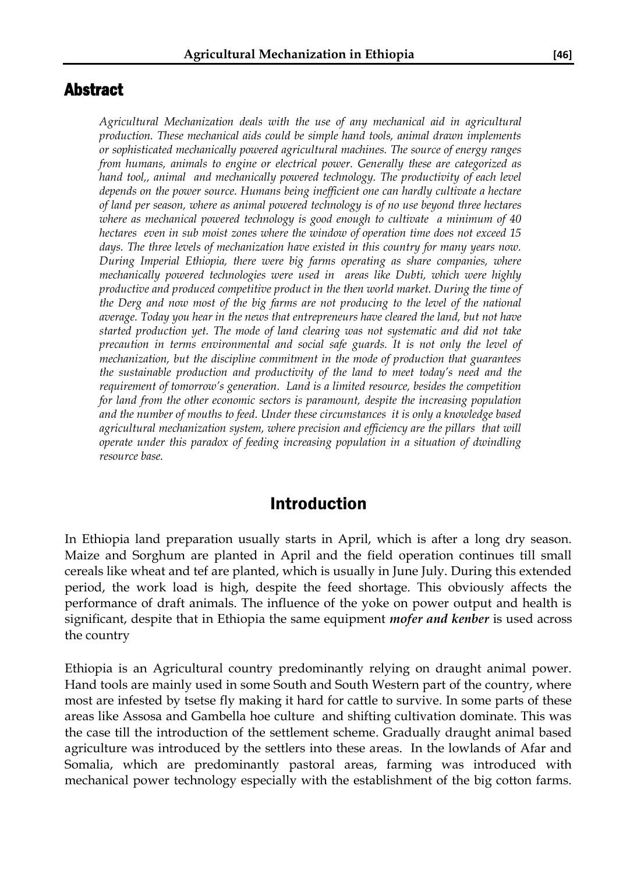### Abstract

*Agricultural Mechanization deals with the use of any mechanical aid in agricultural production. These mechanical aids could be simple hand tools, animal drawn implements or sophisticated mechanically powered agricultural machines. The source of energy ranges from humans, animals to engine or electrical power. Generally these are categorized as hand tool,, animal and mechanically powered technology. The productivity of each level depends on the power source. Humans being inefficient one can hardly cultivate a hectare of land per season, where as animal powered technology is of no use beyond three hectares where as mechanical powered technology is good enough to cultivate a minimum of 40 hectares even in sub moist zones where the window of operation time does not exceed 15 days. The three levels of mechanization have existed in this country for many years now. During Imperial Ethiopia, there were big farms operating as share companies, where mechanically powered technologies were used in areas like Dubti, which were highly productive and produced competitive product in the then world market. During the time of the Derg and now most of the big farms are not producing to the level of the national average. Today you hear in the news that entrepreneurs have cleared the land, but not have started production yet. The mode of land clearing was not systematic and did not take precaution in terms environmental and social safe guards. It is not only the level of mechanization, but the discipline commitment in the mode of production that guarantees the sustainable production and productivity of the land to meet today's need and the requirement of tomorrow's generation. Land is a limited resource, besides the competition for land from the other economic sectors is paramount, despite the increasing population and the number of mouths to feed. Under these circumstances it is only a knowledge based agricultural mechanization system, where precision and efficiency are the pillars that will operate under this paradox of feeding increasing population in a situation of dwindling resource base.* 

#### Introduction

In Ethiopia land preparation usually starts in April, which is after a long dry season. Maize and Sorghum are planted in April and the field operation continues till small cereals like wheat and tef are planted, which is usually in June July. During this extended period, the work load is high, despite the feed shortage. This obviously affects the performance of draft animals. The influence of the yoke on power output and health is significant, despite that in Ethiopia the same equipment *mofer and kenber* is used across the country

Ethiopia is an Agricultural country predominantly relying on draught animal power. Hand tools are mainly used in some South and South Western part of the country, where most are infested by tsetse fly making it hard for cattle to survive. In some parts of these areas like Assosa and Gambella hoe culture and shifting cultivation dominate. This was the case till the introduction of the settlement scheme. Gradually draught animal based agriculture was introduced by the settlers into these areas. In the lowlands of Afar and Somalia, which are predominantly pastoral areas, farming was introduced with mechanical power technology especially with the establishment of the big cotton farms.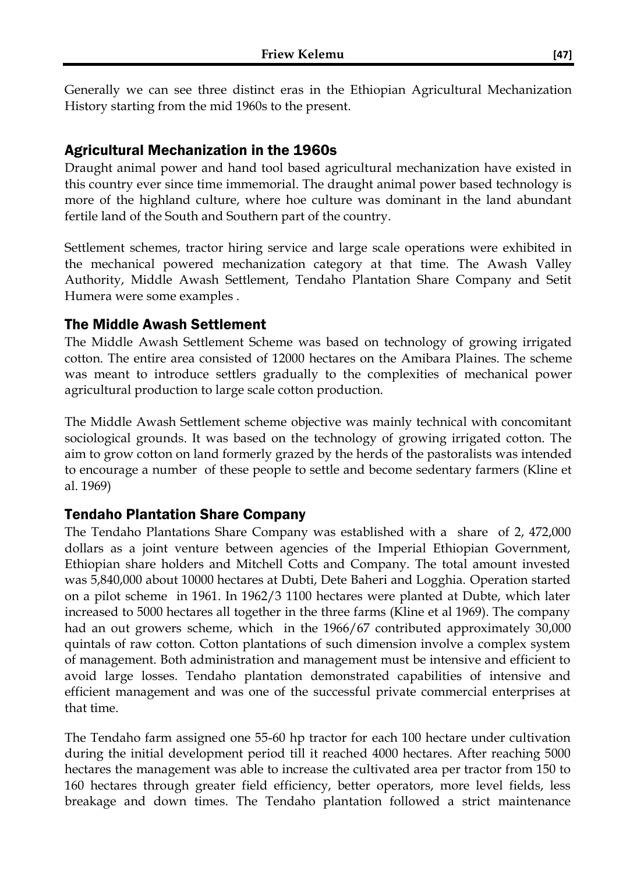Generally we can see three distinct eras in the Ethiopian Agricultural Mechanization History starting from the mid 1960s to the present.

#### Agricultural Mechanization in the 1960s

Draught animal power and hand tool based agricultural mechanization have existed in this country ever since time immemorial. The draught animal power based technology is more of the highland culture, where hoe culture was dominant in the land abundant fertile land of the South and Southern part of the country.

Settlement schemes, tractor hiring service and large scale operations were exhibited in the mechanical powered mechanization category at that time. The Awash Valley Authority, Middle Awash Settlement, Tendaho Plantation Share Company and Setit Humera were some examples .

#### The Middle Awash Settlement

The Middle Awash Settlement Scheme was based on technology of growing irrigated cotton. The entire area consisted of 12000 hectares on the Amibara Plaines. The scheme was meant to introduce settlers gradually to the complexities of mechanical power agricultural production to large scale cotton production.

The Middle Awash Settlement scheme objective was mainly technical with concomitant sociological grounds. It was based on the technology of growing irrigated cotton. The aim to grow cotton on land formerly grazed by the herds of the pastoralists was intended to encourage a number of these people to settle and become sedentary farmers (Kline et al. 1969)

### Tendaho Plantation Share Company

The Tendaho Plantations Share Company was established with a share of 2, 472,000 dollars as a joint venture between agencies of the Imperial Ethiopian Government, Ethiopian share holders and Mitchell Cotts and Company. The total amount invested was 5,840,000 about 10000 hectares at Dubti, Dete Baheri and Logghia. Operation started on a pilot scheme in 1961. In 1962/3 1100 hectares were planted at Dubte, which later increased to 5000 hectares all together in the three farms (Kline et al 1969). The company had an out growers scheme, which in the 1966/67 contributed approximately 30,000 quintals of raw cotton. Cotton plantations of such dimension involve a complex system of management. Both administration and management must be intensive and efficient to avoid large losses. Tendaho plantation demonstrated capabilities of intensive and efficient management and was one of the successful private commercial enterprises at that time.

The Tendaho farm assigned one 55-60 hp tractor for each 100 hectare under cultivation during the initial development period till it reached 4000 hectares. After reaching 5000 hectares the management was able to increase the cultivated area per tractor from 150 to 160 hectares through greater field efficiency, better operators, more level fields, less breakage and down times. The Tendaho plantation followed a strict maintenance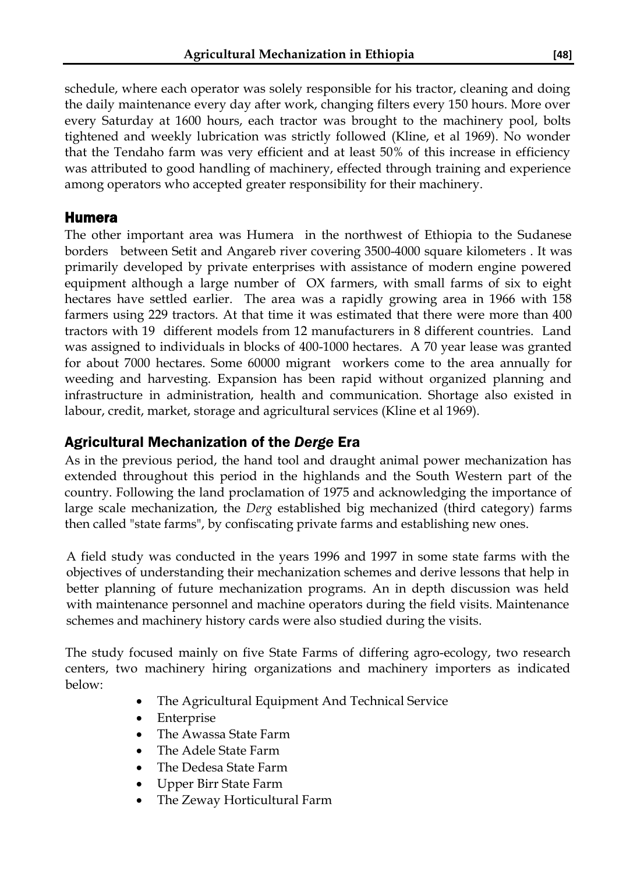schedule, where each operator was solely responsible for his tractor, cleaning and doing the daily maintenance every day after work, changing filters every 150 hours. More over every Saturday at 1600 hours, each tractor was brought to the machinery pool, bolts tightened and weekly lubrication was strictly followed (Kline, et al 1969). No wonder that the Tendaho farm was very efficient and at least 50% of this increase in efficiency was attributed to good handling of machinery, effected through training and experience among operators who accepted greater responsibility for their machinery.

#### Humera

The other important area was Humera in the northwest of Ethiopia to the Sudanese borders between Setit and Angareb river covering 3500-4000 square kilometers . It was primarily developed by private enterprises with assistance of modern engine powered equipment although a large number of OX farmers, with small farms of six to eight hectares have settled earlier. The area was a rapidly growing area in 1966 with 158 farmers using 229 tractors. At that time it was estimated that there were more than 400 tractors with 19 different models from 12 manufacturers in 8 different countries. Land was assigned to individuals in blocks of 400-1000 hectares. A 70 year lease was granted for about 7000 hectares. Some 60000 migrant workers come to the area annually for weeding and harvesting. Expansion has been rapid without organized planning and infrastructure in administration, health and communication. Shortage also existed in labour, credit, market, storage and agricultural services (Kline et al 1969).

### Agricultural Mechanization of the *Derge* Era

As in the previous period, the hand tool and draught animal power mechanization has extended throughout this period in the highlands and the South Western part of the country. Following the land proclamation of 1975 and acknowledging the importance of large scale mechanization, the *Derg* established big mechanized (third category) farms then called "state farms", by confiscating private farms and establishing new ones.

A field study was conducted in the years 1996 and 1997 in some state farms with the objectives of understanding their mechanization schemes and derive lessons that help in better planning of future mechanization programs. An in depth discussion was held with maintenance personnel and machine operators during the field visits. Maintenance schemes and machinery history cards were also studied during the visits.

The study focused mainly on five State Farms of differing agro-ecology, two research centers, two machinery hiring organizations and machinery importers as indicated below:

- The Agricultural Equipment And Technical Service
- Enterprise
- The Awassa State Farm
- The Adele State Farm
- The Dedesa State Farm
- Upper Birr State Farm
- The Zeway Horticultural Farm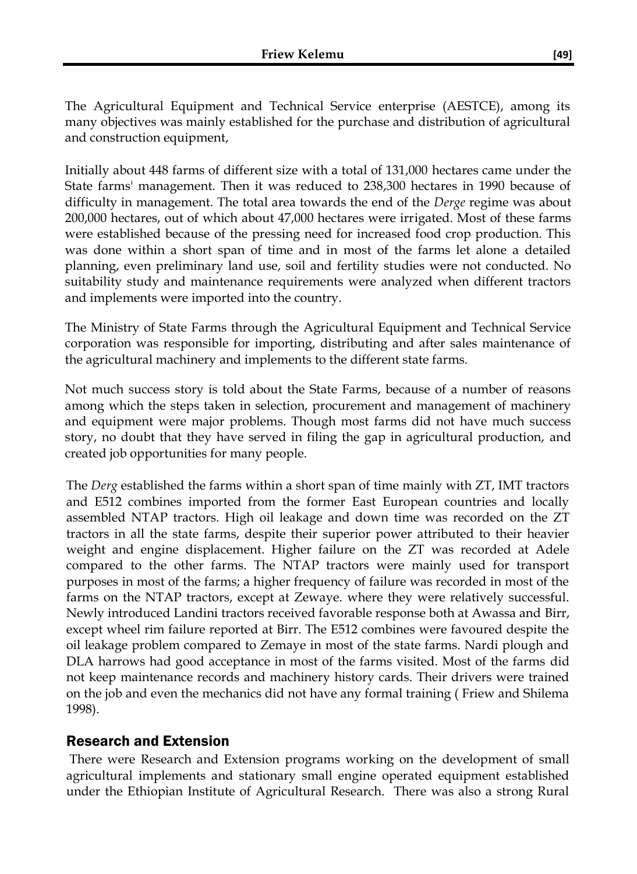The Agricultural Equipment and Technical Service enterprise (AESTCE), among its many objectives was mainly established for the purchase and distribution of agricultural and construction equipment,

Initially about 448 farms of different size with a total of 131,000 hectares came under the State farms' management. Then it was reduced to 238,300 hectares in 1990 because of difficulty in management. The total area towards the end of the *Derge* regime was about 200,000 hectares, out of which about 47,000 hectares were irrigated. Most of these farms were established because of the pressing need for increased food crop production. This was done within a short span of time and in most of the farms let alone a detailed planning, even preliminary land use, soil and fertility studies were not conducted. No suitability study and maintenance requirements were analyzed when different tractors and implements were imported into the country.

The Ministry of State Farms through the Agricultural Equipment and Technical Service corporation was responsible for importing, distributing and after sales maintenance of the agricultural machinery and implements to the different state farms.

Not much success story is told about the State Farms, because of a number of reasons among which the steps taken in selection, procurement and management of machinery and equipment were major problems. Though most farms did not have much success story, no doubt that they have served in filing the gap in agricultural production, and created job opportunities for many people.

The *Derg* established the farms within a short span of time mainly with ZT, IMT tractors and E512 combines imported from the former East European countries and locally assembled NTAP tractors. High oil leakage and down time was recorded on the ZT tractors in all the state farms, despite their superior power attributed to their heavier weight and engine displacement. Higher failure on the ZT was recorded at Adele compared to the other farms. The NTAP tractors were mainly used for transport purposes in most of the farms; a higher frequency of failure was recorded in most of the farms on the NTAP tractors, except at Zewaye. where they were relatively successful. Newly introduced Landini tractors received favorable response both at Awassa and Birr, except wheel rim failure reported at Birr. The E512 combines were favoured despite the oil leakage problem compared to Zemaye in most of the state farms. Nardi plough and DLA harrows had good acceptance in most of the farms visited. Most of the farms did not keep maintenance records and machinery history cards. Their drivers were trained on the job and even the mechanics did not have any formal training ( Friew and Shilema 1998).

#### Research and Extension

There were Research and Extension programs working on the development of small agricultural implements and stationary small engine operated equipment established under the Ethiopian Institute of Agricultural Research. There was also a strong Rural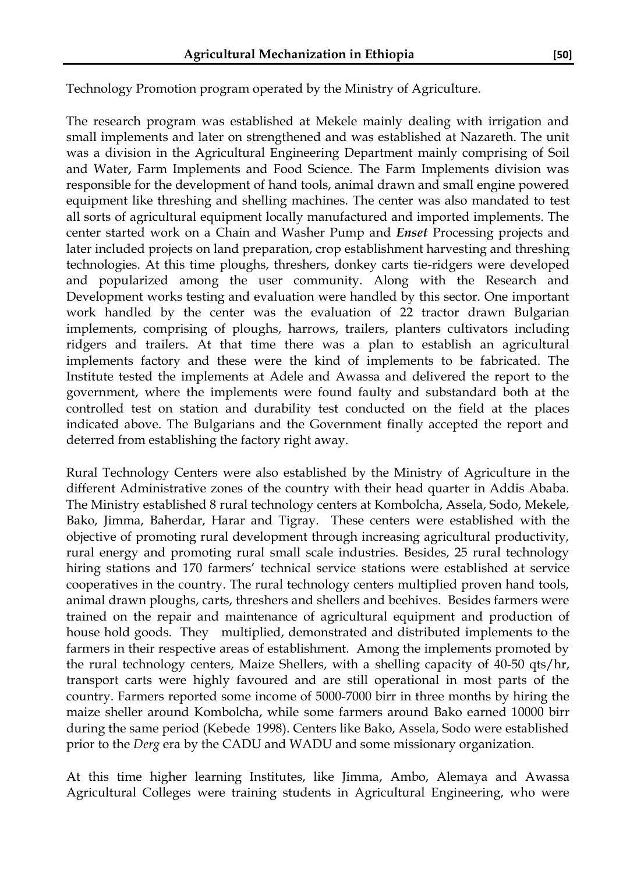Technology Promotion program operated by the Ministry of Agriculture.

The research program was established at Mekele mainly dealing with irrigation and small implements and later on strengthened and was established at Nazareth. The unit was a division in the Agricultural Engineering Department mainly comprising of Soil and Water, Farm Implements and Food Science. The Farm Implements division was responsible for the development of hand tools, animal drawn and small engine powered equipment like threshing and shelling machines. The center was also mandated to test all sorts of agricultural equipment locally manufactured and imported implements. The center started work on a Chain and Washer Pump and *Enset* Processing projects and later included projects on land preparation, crop establishment harvesting and threshing technologies. At this time ploughs, threshers, donkey carts tie-ridgers were developed and popularized among the user community. Along with the Research and Development works testing and evaluation were handled by this sector. One important work handled by the center was the evaluation of 22 tractor drawn Bulgarian implements, comprising of ploughs, harrows, trailers, planters cultivators including ridgers and trailers. At that time there was a plan to establish an agricultural implements factory and these were the kind of implements to be fabricated. The Institute tested the implements at Adele and Awassa and delivered the report to the government, where the implements were found faulty and substandard both at the controlled test on station and durability test conducted on the field at the places indicated above. The Bulgarians and the Government finally accepted the report and deterred from establishing the factory right away.

Rural Technology Centers were also established by the Ministry of Agriculture in the different Administrative zones of the country with their head quarter in Addis Ababa. The Ministry established 8 rural technology centers at Kombolcha, Assela, Sodo, Mekele, Bako, Jimma, Baherdar, Harar and Tigray. These centers were established with the objective of promoting rural development through increasing agricultural productivity, rural energy and promoting rural small scale industries. Besides, 25 rural technology hiring stations and 170 farmers' technical service stations were established at service cooperatives in the country. The rural technology centers multiplied proven hand tools, animal drawn ploughs, carts, threshers and shellers and beehives. Besides farmers were trained on the repair and maintenance of agricultural equipment and production of house hold goods. They multiplied, demonstrated and distributed implements to the farmers in their respective areas of establishment. Among the implements promoted by the rural technology centers, Maize Shellers, with a shelling capacity of 40-50 qts/hr, transport carts were highly favoured and are still operational in most parts of the country. Farmers reported some income of 5000-7000 birr in three months by hiring the maize sheller around Kombolcha, while some farmers around Bako earned 10000 birr during the same period (Kebede 1998). Centers like Bako, Assela, Sodo were established prior to the *Derg* era by the CADU and WADU and some missionary organization.

At this time higher learning Institutes, like Jimma, Ambo, Alemaya and Awassa Agricultural Colleges were training students in Agricultural Engineering, who were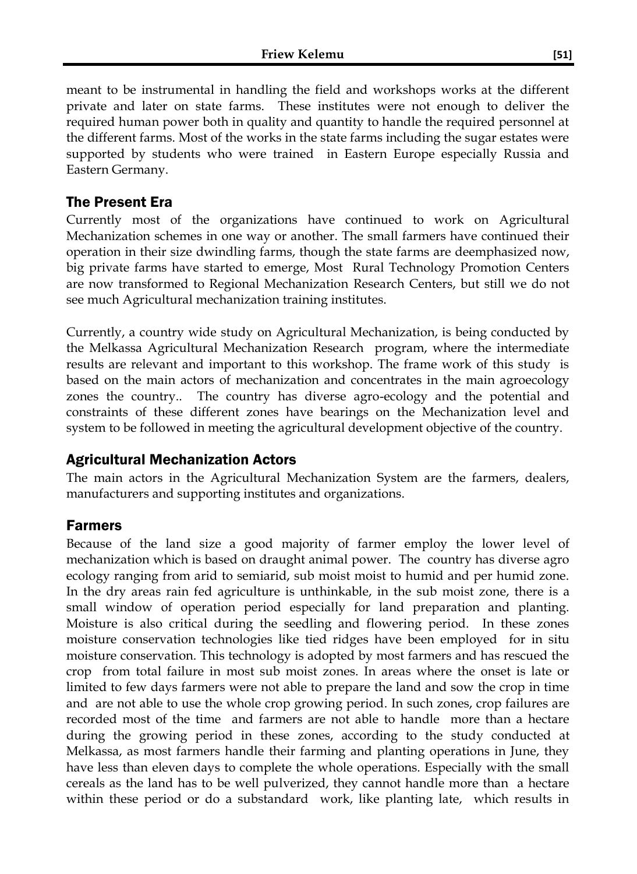meant to be instrumental in handling the field and workshops works at the different private and later on state farms. These institutes were not enough to deliver the required human power both in quality and quantity to handle the required personnel at the different farms. Most of the works in the state farms including the sugar estates were supported by students who were trained in Eastern Europe especially Russia and Eastern Germany.

#### The Present Era

Currently most of the organizations have continued to work on Agricultural Mechanization schemes in one way or another. The small farmers have continued their operation in their size dwindling farms, though the state farms are deemphasized now, big private farms have started to emerge, Most Rural Technology Promotion Centers are now transformed to Regional Mechanization Research Centers, but still we do not see much Agricultural mechanization training institutes.

Currently, a country wide study on Agricultural Mechanization, is being conducted by the Melkassa Agricultural Mechanization Research program, where the intermediate results are relevant and important to this workshop. The frame work of this study is based on the main actors of mechanization and concentrates in the main agroecology zones the country.. The country has diverse agro-ecology and the potential and constraints of these different zones have bearings on the Mechanization level and system to be followed in meeting the agricultural development objective of the country.

### Agricultural Mechanization Actors

The main actors in the Agricultural Mechanization System are the farmers, dealers, manufacturers and supporting institutes and organizations.

#### Farmers

Because of the land size a good majority of farmer employ the lower level of mechanization which is based on draught animal power. The country has diverse agro ecology ranging from arid to semiarid, sub moist moist to humid and per humid zone. In the dry areas rain fed agriculture is unthinkable, in the sub moist zone, there is a small window of operation period especially for land preparation and planting. Moisture is also critical during the seedling and flowering period. In these zones moisture conservation technologies like tied ridges have been employed for in situ moisture conservation. This technology is adopted by most farmers and has rescued the crop from total failure in most sub moist zones. In areas where the onset is late or limited to few days farmers were not able to prepare the land and sow the crop in time and are not able to use the whole crop growing period. In such zones, crop failures are recorded most of the time and farmers are not able to handle more than a hectare during the growing period in these zones, according to the study conducted at Melkassa, as most farmers handle their farming and planting operations in June, they have less than eleven days to complete the whole operations. Especially with the small cereals as the land has to be well pulverized, they cannot handle more than a hectare within these period or do a substandard work, like planting late, which results in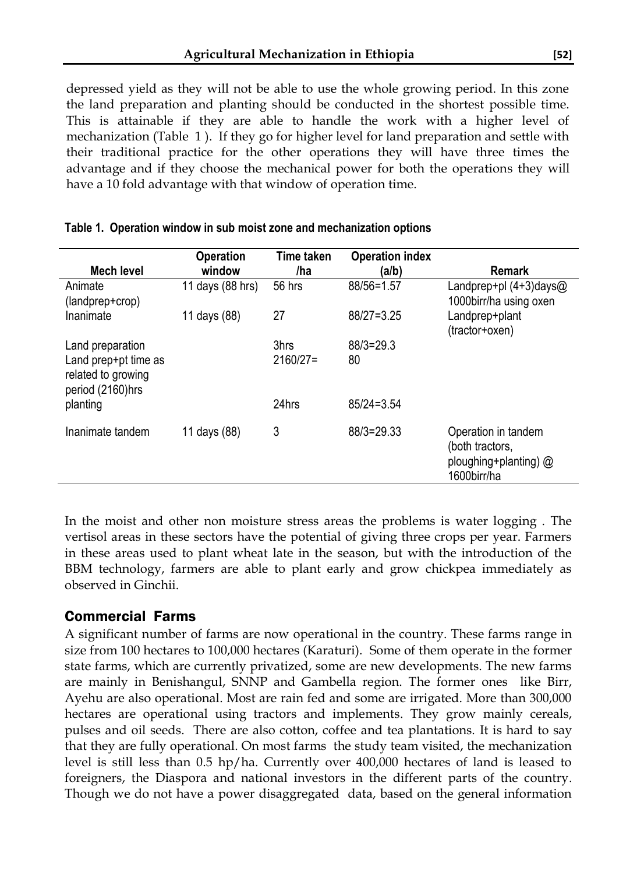depressed yield as they will not be able to use the whole growing period. In this zone the land preparation and planting should be conducted in the shortest possible time. This is attainable if they are able to handle the work with a higher level of mechanization (Table 1 ). If they go for higher level for land preparation and settle with their traditional practice for the other operations they will have three times the advantage and if they choose the mechanical power for both the operations they will have a 10 fold advantage with that window of operation time.

|                                                                | <b>Operation</b> | Time taken | <b>Operation index</b> |                                                                                |
|----------------------------------------------------------------|------------------|------------|------------------------|--------------------------------------------------------------------------------|
| <b>Mech level</b>                                              | window           | /ha        | (a/b)                  | <b>Remark</b>                                                                  |
| Animate<br>(landprep+crop)                                     | 11 days (88 hrs) | 56 hrs     | 88/56=1.57             | Landprep+pl $(4+3)$ days@<br>1000birr/ha using oxen                            |
| Inanimate                                                      | 11 days (88)     | 27         | 88/27=3.25             | Landprep+plant<br>(tractor+oxen)                                               |
| Land preparation                                               |                  | 3hrs       | $88/3 = 29.3$          |                                                                                |
| Land prep+pt time as<br>related to growing<br>period (2160)hrs |                  | $2160/27=$ | 80                     |                                                                                |
| planting                                                       |                  | 24hrs      | $85/24=3.54$           |                                                                                |
| Inanimate tandem                                               | 11 days (88)     | 3          | 88/3=29.33             | Operation in tandem<br>(both tractors,<br>ploughing+planting) @<br>1600birr/ha |

#### **Table 1. Operation window in sub moist zone and mechanization options**

In the moist and other non moisture stress areas the problems is water logging . The vertisol areas in these sectors have the potential of giving three crops per year. Farmers in these areas used to plant wheat late in the season, but with the introduction of the BBM technology, farmers are able to plant early and grow chickpea immediately as observed in Ginchii.

#### Commercial Farms

A significant number of farms are now operational in the country. These farms range in size from 100 hectares to 100,000 hectares (Karaturi). Some of them operate in the former state farms, which are currently privatized, some are new developments. The new farms are mainly in Benishangul, SNNP and Gambella region. The former ones like Birr, Ayehu are also operational. Most are rain fed and some are irrigated. More than 300,000 hectares are operational using tractors and implements. They grow mainly cereals, pulses and oil seeds. There are also cotton, coffee and tea plantations. It is hard to say that they are fully operational. On most farms the study team visited, the mechanization level is still less than 0.5 hp/ha. Currently over 400,000 hectares of land is leased to foreigners, the Diaspora and national investors in the different parts of the country. Though we do not have a power disaggregated data, based on the general information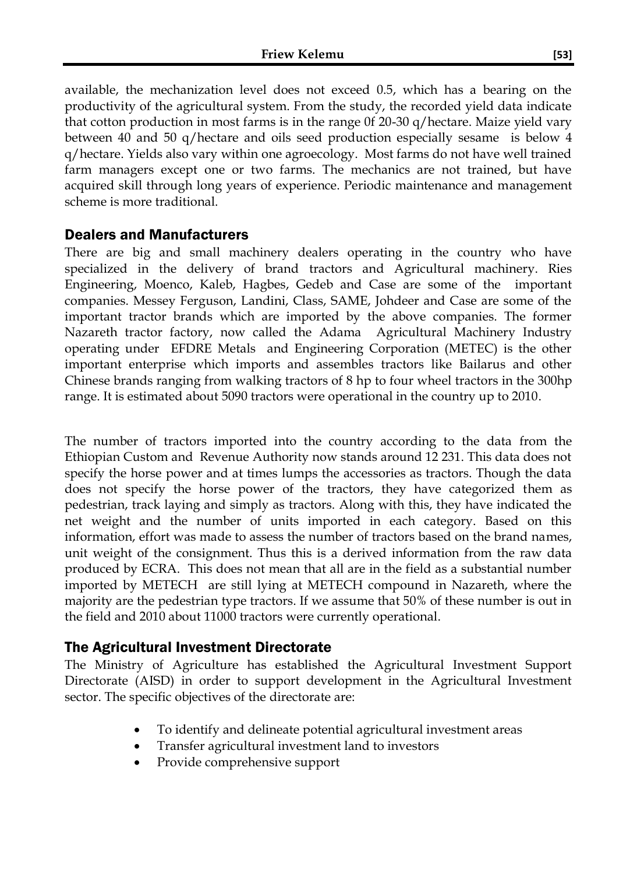available, the mechanization level does not exceed 0.5, which has a bearing on the productivity of the agricultural system. From the study, the recorded yield data indicate that cotton production in most farms is in the range 0f 20-30 q/hectare. Maize yield vary between 40 and 50 q/hectare and oils seed production especially sesame is below 4 q/hectare. Yields also vary within one agroecology. Most farms do not have well trained farm managers except one or two farms. The mechanics are not trained, but have acquired skill through long years of experience. Periodic maintenance and management scheme is more traditional.

#### Dealers and Manufacturers

There are big and small machinery dealers operating in the country who have specialized in the delivery of brand tractors and Agricultural machinery. Ries Engineering, Moenco, Kaleb, Hagbes, Gedeb and Case are some of the important companies. Messey Ferguson, Landini, Class, SAME, Johdeer and Case are some of the important tractor brands which are imported by the above companies. The former Nazareth tractor factory, now called the Adama Agricultural Machinery Industry operating under EFDRE Metals and Engineering Corporation (METEC) is the other important enterprise which imports and assembles tractors like Bailarus and other Chinese brands ranging from walking tractors of 8 hp to four wheel tractors in the 300hp range. It is estimated about 5090 tractors were operational in the country up to 2010.

The number of tractors imported into the country according to the data from the Ethiopian Custom and Revenue Authority now stands around 12 231. This data does not specify the horse power and at times lumps the accessories as tractors. Though the data does not specify the horse power of the tractors, they have categorized them as pedestrian, track laying and simply as tractors. Along with this, they have indicated the net weight and the number of units imported in each category. Based on this information, effort was made to assess the number of tractors based on the brand names, unit weight of the consignment. Thus this is a derived information from the raw data produced by ECRA. This does not mean that all are in the field as a substantial number imported by METECH are still lying at METECH compound in Nazareth, where the majority are the pedestrian type tractors. If we assume that 50% of these number is out in the field and 2010 about 11000 tractors were currently operational.

### The Agricultural Investment Directorate

The Ministry of Agriculture has established the Agricultural Investment Support Directorate (AISD) in order to support development in the Agricultural Investment sector. The specific objectives of the directorate are:

- To identify and delineate potential agricultural investment areas
- Transfer agricultural investment land to investors
- Provide comprehensive support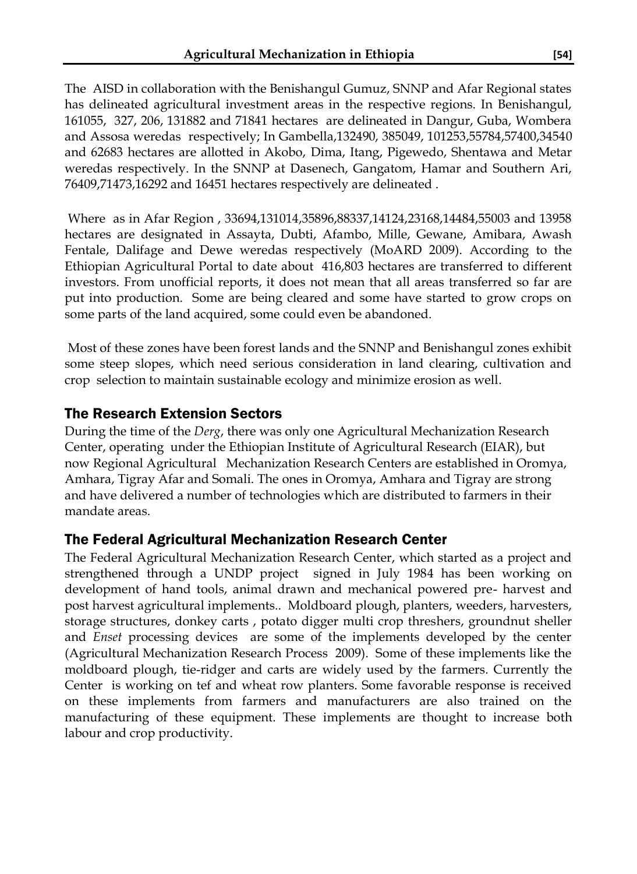The AISD in collaboration with the Benishangul Gumuz, SNNP and Afar Regional states has delineated agricultural investment areas in the respective regions. In Benishangul, 161055, 327, 206, 131882 and 71841 hectares are delineated in Dangur, Guba, Wombera and Assosa weredas respectively; In Gambella,132490, 385049, 101253,55784,57400,34540 and 62683 hectares are allotted in Akobo, Dima, Itang, Pigewedo, Shentawa and Metar weredas respectively. In the SNNP at Dasenech, Gangatom, Hamar and Southern Ari, 76409,71473,16292 and 16451 hectares respectively are delineated .

Where as in Afar Region , 33694,131014,35896,88337,14124,23168,14484,55003 and 13958 hectares are designated in Assayta, Dubti, Afambo, Mille, Gewane, Amibara, Awash Fentale, Dalifage and Dewe weredas respectively (MoARD 2009). According to the Ethiopian Agricultural Portal to date about 416,803 hectares are transferred to different investors. From unofficial reports, it does not mean that all areas transferred so far are put into production. Some are being cleared and some have started to grow crops on some parts of the land acquired, some could even be abandoned.

Most of these zones have been forest lands and the SNNP and Benishangul zones exhibit some steep slopes, which need serious consideration in land clearing, cultivation and crop selection to maintain sustainable ecology and minimize erosion as well.

### The Research Extension Sectors

During the time of the *Derg*, there was only one Agricultural Mechanization Research Center, operating under the Ethiopian Institute of Agricultural Research (EIAR), but now Regional Agricultural Mechanization Research Centers are established in Oromya, Amhara, Tigray Afar and Somali. The ones in Oromya, Amhara and Tigray are strong and have delivered a number of technologies which are distributed to farmers in their mandate areas.

### The Federal Agricultural Mechanization Research Center

The Federal Agricultural Mechanization Research Center, which started as a project and strengthened through a UNDP project signed in July 1984 has been working on development of hand tools, animal drawn and mechanical powered pre- harvest and post harvest agricultural implements.. Moldboard plough, planters, weeders, harvesters, storage structures, donkey carts , potato digger multi crop threshers, groundnut sheller and *Enset* processing devices are some of the implements developed by the center (Agricultural Mechanization Research Process 2009). Some of these implements like the moldboard plough, tie-ridger and carts are widely used by the farmers. Currently the Center is working on tef and wheat row planters. Some favorable response is received on these implements from farmers and manufacturers are also trained on the manufacturing of these equipment. These implements are thought to increase both labour and crop productivity.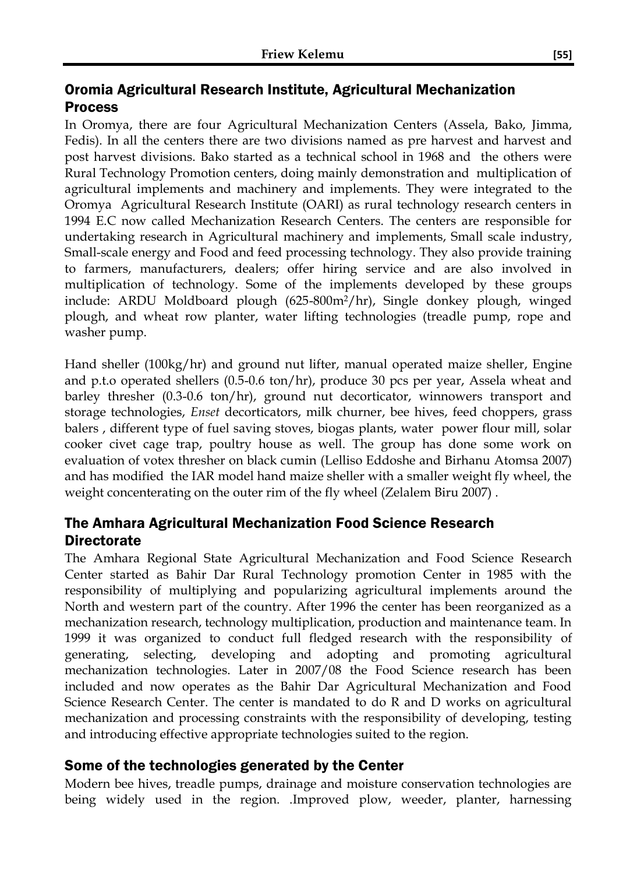### Oromia Agricultural Research Institute, Agricultural Mechanization Process

In Oromya, there are four Agricultural Mechanization Centers (Assela, Bako, Jimma, Fedis). In all the centers there are two divisions named as pre harvest and harvest and post harvest divisions. Bako started as a technical school in 1968 and the others were Rural Technology Promotion centers, doing mainly demonstration and multiplication of agricultural implements and machinery and implements. They were integrated to the Oromya Agricultural Research Institute (OARI) as rural technology research centers in 1994 E.C now called Mechanization Research Centers. The centers are responsible for undertaking research in Agricultural machinery and implements, Small scale industry, Small-scale energy and Food and feed processing technology. They also provide training to farmers, manufacturers, dealers; offer hiring service and are also involved in multiplication of technology. Some of the implements developed by these groups include: ARDU Moldboard plough (625-800m2/hr), Single donkey plough, winged plough, and wheat row planter, water lifting technologies (treadle pump, rope and washer pump.

Hand sheller (100kg/hr) and ground nut lifter, manual operated maize sheller, Engine and p.t.o operated shellers (0.5-0.6 ton/hr), produce 30 pcs per year, Assela wheat and barley thresher (0.3-0.6 ton/hr), ground nut decorticator, winnowers transport and storage technologies, *Enset* decorticators, milk churner, bee hives, feed choppers, grass balers , different type of fuel saving stoves, biogas plants, water power flour mill, solar cooker civet cage trap, poultry house as well. The group has done some work on evaluation of votex thresher on black cumin (Lelliso Eddoshe and Birhanu Atomsa 2007) and has modified the IAR model hand maize sheller with a smaller weight fly wheel, the weight concenterating on the outer rim of the fly wheel (Zelalem Biru 2007) .

### The Amhara Agricultural Mechanization Food Science Research **Directorate**

The Amhara Regional State Agricultural Mechanization and Food Science Research Center started as Bahir Dar Rural Technology promotion Center in 1985 with the responsibility of multiplying and popularizing agricultural implements around the North and western part of the country. After 1996 the center has been reorganized as a mechanization research, technology multiplication, production and maintenance team. In 1999 it was organized to conduct full fledged research with the responsibility of generating, selecting, developing and adopting and promoting agricultural mechanization technologies. Later in 2007/08 the Food Science research has been included and now operates as the Bahir Dar Agricultural Mechanization and Food Science Research Center. The center is mandated to do R and D works on agricultural mechanization and processing constraints with the responsibility of developing, testing and introducing effective appropriate technologies suited to the region.

### Some of the technologies generated by the Center

Modern bee hives, treadle pumps, drainage and moisture conservation technologies are being widely used in the region. .Improved plow, weeder, planter, harnessing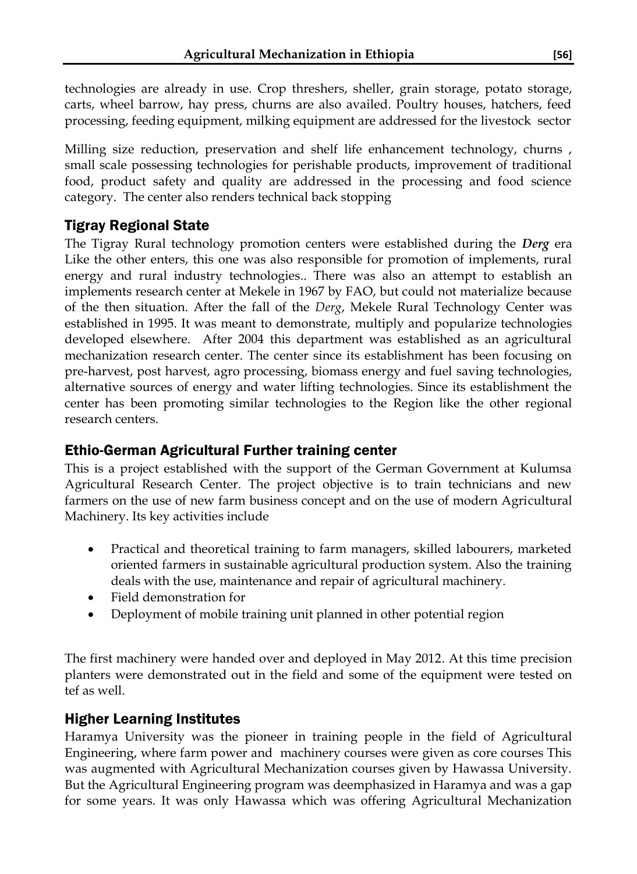technologies are already in use. Crop threshers, sheller, grain storage, potato storage, carts, wheel barrow, hay press, churns are also availed. Poultry houses, hatchers, feed processing, feeding equipment, milking equipment are addressed for the livestock sector

Milling size reduction, preservation and shelf life enhancement technology, churns , small scale possessing technologies for perishable products, improvement of traditional food, product safety and quality are addressed in the processing and food science category. The center also renders technical back stopping

## Tigray Regional State

The Tigray Rural technology promotion centers were established during the *Derg* era Like the other enters, this one was also responsible for promotion of implements, rural energy and rural industry technologies.. There was also an attempt to establish an implements research center at Mekele in 1967 by FAO, but could not materialize because of the then situation. After the fall of the *Derg*, Mekele Rural Technology Center was established in 1995. It was meant to demonstrate, multiply and popularize technologies developed elsewhere. After 2004 this department was established as an agricultural mechanization research center. The center since its establishment has been focusing on pre-harvest, post harvest, agro processing, biomass energy and fuel saving technologies, alternative sources of energy and water lifting technologies. Since its establishment the center has been promoting similar technologies to the Region like the other regional research centers.

### Ethio-German Agricultural Further training center

This is a project established with the support of the German Government at Kulumsa Agricultural Research Center. The project objective is to train technicians and new farmers on the use of new farm business concept and on the use of modern Agricultural Machinery. Its key activities include

- Practical and theoretical training to farm managers, skilled labourers, marketed oriented farmers in sustainable agricultural production system. Also the training deals with the use, maintenance and repair of agricultural machinery.
- Field demonstration for
- Deployment of mobile training unit planned in other potential region

The first machinery were handed over and deployed in May 2012. At this time precision planters were demonstrated out in the field and some of the equipment were tested on tef as well.

### Higher Learning Institutes

Haramya University was the pioneer in training people in the field of Agricultural Engineering, where farm power and machinery courses were given as core courses This was augmented with Agricultural Mechanization courses given by Hawassa University. But the Agricultural Engineering program was deemphasized in Haramya and was a gap for some years. It was only Hawassa which was offering Agricultural Mechanization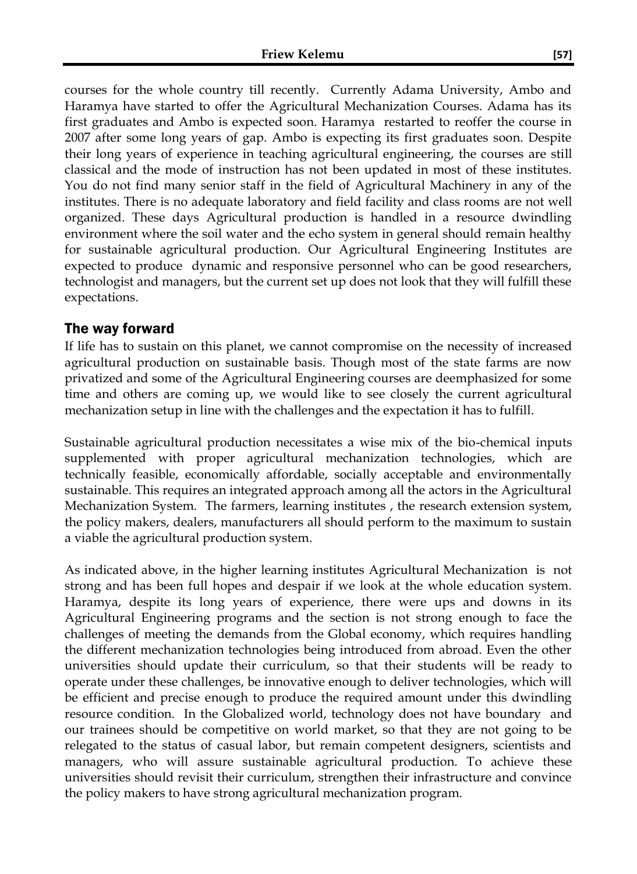courses for the whole country till recently. Currently Adama University, Ambo and Haramya have started to offer the Agricultural Mechanization Courses. Adama has its first graduates and Ambo is expected soon. Haramya restarted to reoffer the course in 2007 after some long years of gap. Ambo is expecting its first graduates soon. Despite their long years of experience in teaching agricultural engineering, the courses are still classical and the mode of instruction has not been updated in most of these institutes. You do not find many senior staff in the field of Agricultural Machinery in any of the institutes. There is no adequate laboratory and field facility and class rooms are not well organized. These days Agricultural production is handled in a resource dwindling environment where the soil water and the echo system in general should remain healthy for sustainable agricultural production. Our Agricultural Engineering Institutes are expected to produce dynamic and responsive personnel who can be good researchers, technologist and managers, but the current set up does not look that they will fulfill these expectations.

#### The way forward

If life has to sustain on this planet, we cannot compromise on the necessity of increased agricultural production on sustainable basis. Though most of the state farms are now privatized and some of the Agricultural Engineering courses are deemphasized for some time and others are coming up, we would like to see closely the current agricultural mechanization setup in line with the challenges and the expectation it has to fulfill.

Sustainable agricultural production necessitates a wise mix of the bio-chemical inputs supplemented with proper agricultural mechanization technologies, which are technically feasible, economically affordable, socially acceptable and environmentally sustainable. This requires an integrated approach among all the actors in the Agricultural Mechanization System. The farmers, learning institutes , the research extension system, the policy makers, dealers, manufacturers all should perform to the maximum to sustain a viable the agricultural production system.

As indicated above, in the higher learning institutes Agricultural Mechanization is not strong and has been full hopes and despair if we look at the whole education system. Haramya, despite its long years of experience, there were ups and downs in its Agricultural Engineering programs and the section is not strong enough to face the challenges of meeting the demands from the Global economy, which requires handling the different mechanization technologies being introduced from abroad. Even the other universities should update their curriculum, so that their students will be ready to operate under these challenges, be innovative enough to deliver technologies, which will be efficient and precise enough to produce the required amount under this dwindling resource condition. In the Globalized world, technology does not have boundary and our trainees should be competitive on world market, so that they are not going to be relegated to the status of casual labor, but remain competent designers, scientists and managers, who will assure sustainable agricultural production. To achieve these universities should revisit their curriculum, strengthen their infrastructure and convince the policy makers to have strong agricultural mechanization program.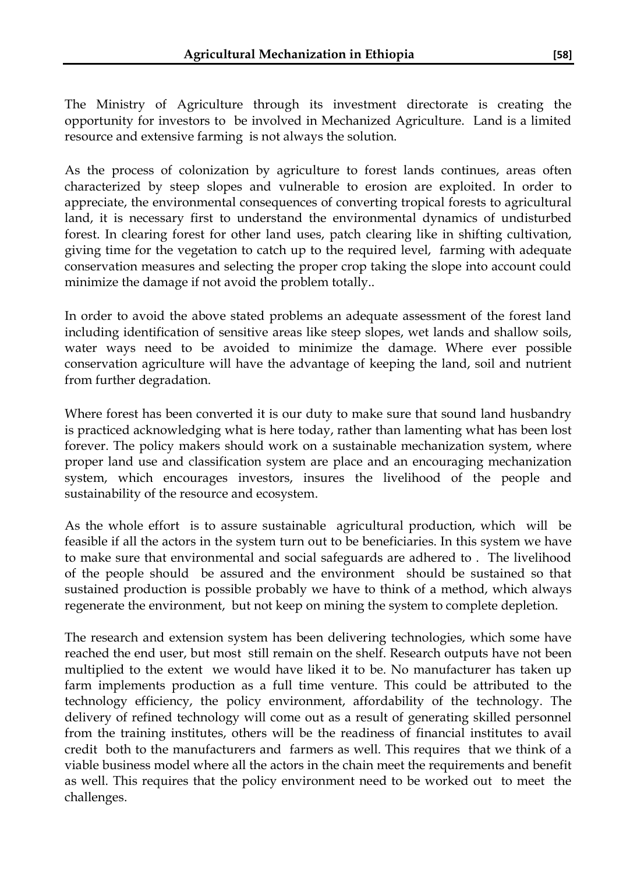The Ministry of Agriculture through its investment directorate is creating the opportunity for investors to be involved in Mechanized Agriculture. Land is a limited resource and extensive farming is not always the solution.

As the process of colonization by agriculture to forest lands continues, areas often characterized by steep slopes and vulnerable to erosion are exploited. In order to appreciate, the environmental consequences of converting tropical forests to agricultural land, it is necessary first to understand the environmental dynamics of undisturbed forest. In clearing forest for other land uses, patch clearing like in shifting cultivation, giving time for the vegetation to catch up to the required level, farming with adequate conservation measures and selecting the proper crop taking the slope into account could minimize the damage if not avoid the problem totally..

In order to avoid the above stated problems an adequate assessment of the forest land including identification of sensitive areas like steep slopes, wet lands and shallow soils, water ways need to be avoided to minimize the damage. Where ever possible conservation agriculture will have the advantage of keeping the land, soil and nutrient from further degradation.

Where forest has been converted it is our duty to make sure that sound land husbandry is practiced acknowledging what is here today, rather than lamenting what has been lost forever. The policy makers should work on a sustainable mechanization system, where proper land use and classification system are place and an encouraging mechanization system, which encourages investors, insures the livelihood of the people and sustainability of the resource and ecosystem.

As the whole effort is to assure sustainable agricultural production, which will be feasible if all the actors in the system turn out to be beneficiaries. In this system we have to make sure that environmental and social safeguards are adhered to . The livelihood of the people should be assured and the environment should be sustained so that sustained production is possible probably we have to think of a method, which always regenerate the environment, but not keep on mining the system to complete depletion.

The research and extension system has been delivering technologies, which some have reached the end user, but most still remain on the shelf. Research outputs have not been multiplied to the extent we would have liked it to be. No manufacturer has taken up farm implements production as a full time venture. This could be attributed to the technology efficiency, the policy environment, affordability of the technology. The delivery of refined technology will come out as a result of generating skilled personnel from the training institutes, others will be the readiness of financial institutes to avail credit both to the manufacturers and farmers as well. This requires that we think of a viable business model where all the actors in the chain meet the requirements and benefit as well. This requires that the policy environment need to be worked out to meet the challenges.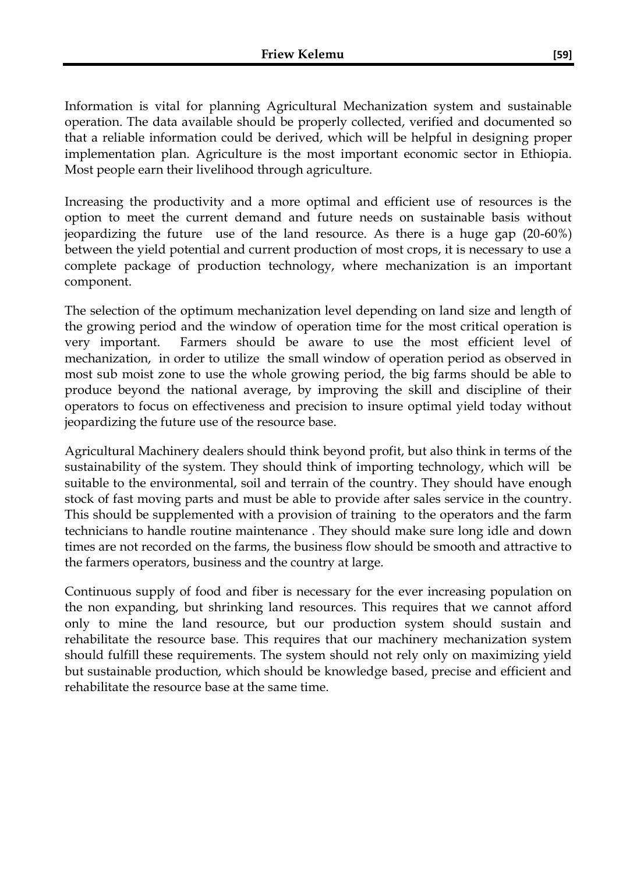Information is vital for planning Agricultural Mechanization system and sustainable operation. The data available should be properly collected, verified and documented so that a reliable information could be derived, which will be helpful in designing proper implementation plan. Agriculture is the most important economic sector in Ethiopia. Most people earn their livelihood through agriculture.

Increasing the productivity and a more optimal and efficient use of resources is the option to meet the current demand and future needs on sustainable basis without jeopardizing the future use of the land resource. As there is a huge gap (20-60%) between the yield potential and current production of most crops, it is necessary to use a complete package of production technology, where mechanization is an important component.

The selection of the optimum mechanization level depending on land size and length of the growing period and the window of operation time for the most critical operation is very important. Farmers should be aware to use the most efficient level of mechanization, in order to utilize the small window of operation period as observed in most sub moist zone to use the whole growing period, the big farms should be able to produce beyond the national average, by improving the skill and discipline of their operators to focus on effectiveness and precision to insure optimal yield today without jeopardizing the future use of the resource base.

Agricultural Machinery dealers should think beyond profit, but also think in terms of the sustainability of the system. They should think of importing technology, which will be suitable to the environmental, soil and terrain of the country. They should have enough stock of fast moving parts and must be able to provide after sales service in the country. This should be supplemented with a provision of training to the operators and the farm technicians to handle routine maintenance . They should make sure long idle and down times are not recorded on the farms, the business flow should be smooth and attractive to the farmers operators, business and the country at large.

Continuous supply of food and fiber is necessary for the ever increasing population on the non expanding, but shrinking land resources. This requires that we cannot afford only to mine the land resource, but our production system should sustain and rehabilitate the resource base. This requires that our machinery mechanization system should fulfill these requirements. The system should not rely only on maximizing yield but sustainable production, which should be knowledge based, precise and efficient and rehabilitate the resource base at the same time.